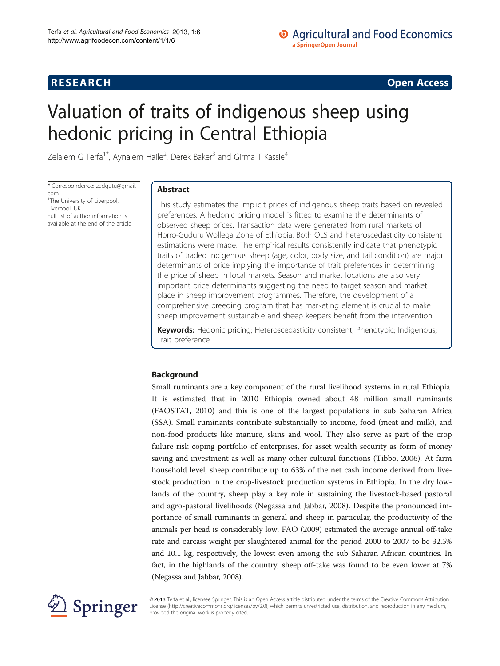## **RESEARCH RESEARCH CONSUMING ACCESS**

# Valuation of traits of indigenous sheep using hedonic pricing in Central Ethiopia

Zelalem G Terfa<sup>1\*</sup>, Aynalem Haile<sup>2</sup>, Derek Baker<sup>3</sup> and Girma T Kassie<sup>4</sup>

\* Correspondence: [zedgutu@gmail.](mailto:zedgutu@gmail.com) [com](mailto:zedgutu@gmail.com) <sup>1</sup>The University of Liverpool, Liverpool, UK Full list of author information is available at the end of the article

### Abstract

This study estimates the implicit prices of indigenous sheep traits based on revealed preferences. A hedonic pricing model is fitted to examine the determinants of observed sheep prices. Transaction data were generated from rural markets of Horro-Guduru Wollega Zone of Ethiopia. Both OLS and heteroscedasticity consistent estimations were made. The empirical results consistently indicate that phenotypic traits of traded indigenous sheep (age, color, body size, and tail condition) are major determinants of price implying the importance of trait preferences in determining the price of sheep in local markets. Season and market locations are also very important price determinants suggesting the need to target season and market place in sheep improvement programmes. Therefore, the development of a comprehensive breeding program that has marketing element is crucial to make sheep improvement sustainable and sheep keepers benefit from the intervention.

Keywords: Hedonic pricing; Heteroscedasticity consistent; Phenotypic; Indigenous; Trait preference

### Background

Small ruminants are a key component of the rural livelihood systems in rural Ethiopia. It is estimated that in 2010 Ethiopia owned about 48 million small ruminants (FAOSTAT, [2010\)](#page-12-0) and this is one of the largest populations in sub Saharan Africa (SSA). Small ruminants contribute substantially to income, food (meat and milk), and non-food products like manure, skins and wool. They also serve as part of the crop failure risk coping portfolio of enterprises, for asset wealth security as form of money saving and investment as well as many other cultural functions (Tibbo, [2006\)](#page-12-0). At farm household level, sheep contribute up to 63% of the net cash income derived from livestock production in the crop-livestock production systems in Ethiopia. In the dry lowlands of the country, sheep play a key role in sustaining the livestock-based pastoral and agro-pastoral livelihoods (Negassa and Jabbar, [2008](#page-12-0)). Despite the pronounced importance of small ruminants in general and sheep in particular, the productivity of the animals per head is considerably low. FAO [\(2009](#page-12-0)) estimated the average annual off-take rate and carcass weight per slaughtered animal for the period 2000 to 2007 to be 32.5% and 10.1 kg, respectively, the lowest even among the sub Saharan African countries. In fact, in the highlands of the country, sheep off-take was found to be even lower at 7% (Negassa and Jabbar, [2008\)](#page-12-0).



© 2013 Terfa et al.; licensee Springer. This is an Open Access article distributed under the terms of the Creative Commons Attribution License [\(http://creativecommons.org/licenses/by/2.0\)](http://creativecommons.org/licenses/by/2.0), which permits unrestricted use, distribution, and reproduction in any medium, provided the original work is properly cited.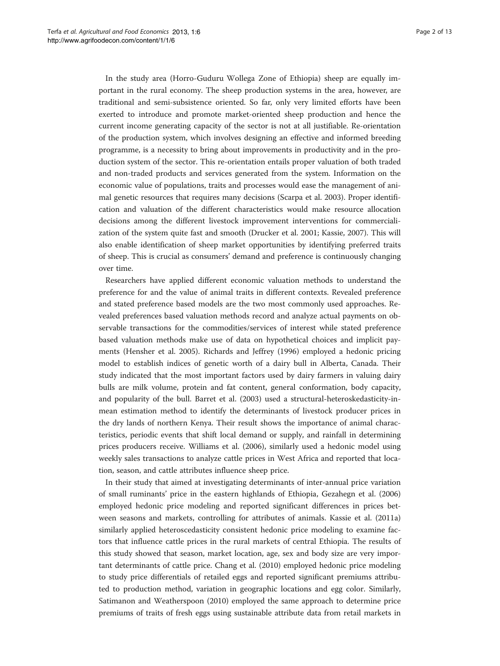In the study area (Horro-Guduru Wollega Zone of Ethiopia) sheep are equally important in the rural economy. The sheep production systems in the area, however, are traditional and semi-subsistence oriented. So far, only very limited efforts have been exerted to introduce and promote market-oriented sheep production and hence the current income generating capacity of the sector is not at all justifiable. Re-orientation of the production system, which involves designing an effective and informed breeding programme, is a necessity to bring about improvements in productivity and in the production system of the sector. This re-orientation entails proper valuation of both traded and non-traded products and services generated from the system. Information on the economic value of populations, traits and processes would ease the management of animal genetic resources that requires many decisions (Scarpa et al. [2003](#page-12-0)). Proper identification and valuation of the different characteristics would make resource allocation decisions among the different livestock improvement interventions for commercialization of the system quite fast and smooth (Drucker et al. [2001](#page-12-0); Kassie, [2007\)](#page-12-0). This will also enable identification of sheep market opportunities by identifying preferred traits of sheep. This is crucial as consumers' demand and preference is continuously changing over time.

Researchers have applied different economic valuation methods to understand the preference for and the value of animal traits in different contexts. Revealed preference and stated preference based models are the two most commonly used approaches. Revealed preferences based valuation methods record and analyze actual payments on observable transactions for the commodities/services of interest while stated preference based valuation methods make use of data on hypothetical choices and implicit payments (Hensher et al. [2005\)](#page-12-0). Richards and Jeffrey ([1996](#page-12-0)) employed a hedonic pricing model to establish indices of genetic worth of a dairy bull in Alberta, Canada. Their study indicated that the most important factors used by dairy farmers in valuing dairy bulls are milk volume, protein and fat content, general conformation, body capacity, and popularity of the bull. Barret et al. ([2003\)](#page-12-0) used a structural-heteroskedasticity-inmean estimation method to identify the determinants of livestock producer prices in the dry lands of northern Kenya. Their result shows the importance of animal characteristics, periodic events that shift local demand or supply, and rainfall in determining prices producers receive. Williams et al. [\(2006\)](#page-12-0), similarly used a hedonic model using weekly sales transactions to analyze cattle prices in West Africa and reported that location, season, and cattle attributes influence sheep price.

In their study that aimed at investigating determinants of inter-annual price variation of small ruminants' price in the eastern highlands of Ethiopia, Gezahegn et al. ([2006](#page-12-0)) employed hedonic price modeling and reported significant differences in prices between seasons and markets, controlling for attributes of animals. Kassie et al. [\(2011a](#page-12-0)) similarly applied heteroscedasticity consistent hedonic price modeling to examine factors that influence cattle prices in the rural markets of central Ethiopia. The results of this study showed that season, market location, age, sex and body size are very important determinants of cattle price. Chang et al. ([2010](#page-12-0)) employed hedonic price modeling to study price differentials of retailed eggs and reported significant premiums attributed to production method, variation in geographic locations and egg color. Similarly, Satimanon and Weatherspoon ([2010](#page-12-0)) employed the same approach to determine price premiums of traits of fresh eggs using sustainable attribute data from retail markets in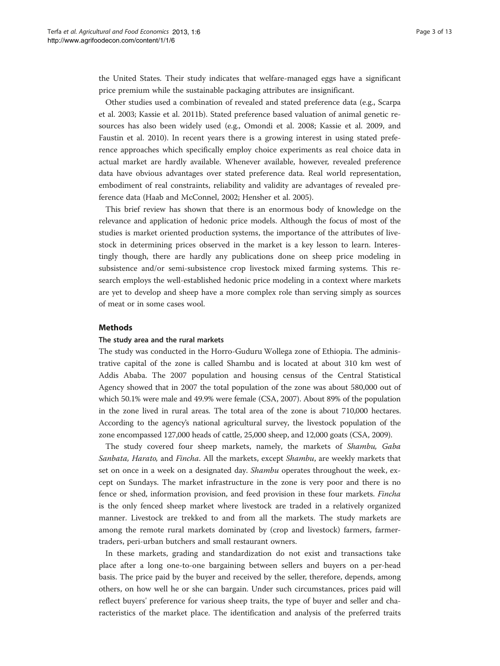the United States. Their study indicates that welfare-managed eggs have a significant price premium while the sustainable packaging attributes are insignificant.

Other studies used a combination of revealed and stated preference data (e.g., Scarpa et al. [2003](#page-12-0); Kassie et al. [2011b](#page-12-0)). Stated preference based valuation of animal genetic resources has also been widely used (e.g., Omondi et al. [2008;](#page-12-0) Kassie et al. [2009](#page-12-0), and Faustin et al. [2010\)](#page-12-0). In recent years there is a growing interest in using stated preference approaches which specifically employ choice experiments as real choice data in actual market are hardly available. Whenever available, however, revealed preference data have obvious advantages over stated preference data. Real world representation, embodiment of real constraints, reliability and validity are advantages of revealed preference data (Haab and McConnel, [2002;](#page-12-0) Hensher et al. [2005](#page-12-0)).

This brief review has shown that there is an enormous body of knowledge on the relevance and application of hedonic price models. Although the focus of most of the studies is market oriented production systems, the importance of the attributes of livestock in determining prices observed in the market is a key lesson to learn. Interestingly though, there are hardly any publications done on sheep price modeling in subsistence and/or semi-subsistence crop livestock mixed farming systems. This research employs the well-established hedonic price modeling in a context where markets are yet to develop and sheep have a more complex role than serving simply as sources of meat or in some cases wool.

#### Methods

#### The study area and the rural markets

The study was conducted in the Horro-Guduru Wollega zone of Ethiopia. The administrative capital of the zone is called Shambu and is located at about 310 km west of Addis Ababa. The 2007 population and housing census of the Central Statistical Agency showed that in 2007 the total population of the zone was about 580,000 out of which 50.1% were male and 49.9% were female (CSA, [2007\)](#page-12-0). About 89% of the population in the zone lived in rural areas. The total area of the zone is about 710,000 hectares. According to the agency's national agricultural survey, the livestock population of the zone encompassed 127,000 heads of cattle, 25,000 sheep, and 12,000 goats (CSA, [2009](#page-12-0)).

The study covered four sheep markets, namely, the markets of Shambu, Gaba Sanbata, Harato, and Fincha. All the markets, except Shambu, are weekly markets that set on once in a week on a designated day. *Shambu* operates throughout the week, except on Sundays. The market infrastructure in the zone is very poor and there is no fence or shed, information provision, and feed provision in these four markets. Fincha is the only fenced sheep market where livestock are traded in a relatively organized manner. Livestock are trekked to and from all the markets. The study markets are among the remote rural markets dominated by (crop and livestock) farmers, farmertraders, peri-urban butchers and small restaurant owners.

In these markets, grading and standardization do not exist and transactions take place after a long one-to-one bargaining between sellers and buyers on a per-head basis. The price paid by the buyer and received by the seller, therefore, depends, among others, on how well he or she can bargain. Under such circumstances, prices paid will reflect buyers' preference for various sheep traits, the type of buyer and seller and characteristics of the market place. The identification and analysis of the preferred traits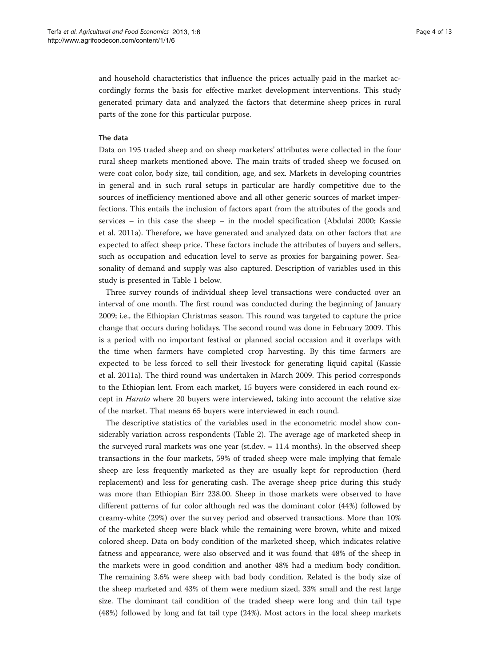and household characteristics that influence the prices actually paid in the market accordingly forms the basis for effective market development interventions. This study generated primary data and analyzed the factors that determine sheep prices in rural parts of the zone for this particular purpose.

#### The data

Data on 195 traded sheep and on sheep marketers' attributes were collected in the four rural sheep markets mentioned above. The main traits of traded sheep we focused on were coat color, body size, tail condition, age, and sex. Markets in developing countries in general and in such rural setups in particular are hardly competitive due to the sources of inefficiency mentioned above and all other generic sources of market imperfections. This entails the inclusion of factors apart from the attributes of the goods and services – in this case the sheep – in the model specification (Abdulai [2000;](#page-11-0) Kassie et al. [2011a\)](#page-12-0). Therefore, we have generated and analyzed data on other factors that are expected to affect sheep price. These factors include the attributes of buyers and sellers, such as occupation and education level to serve as proxies for bargaining power. Seasonality of demand and supply was also captured. Description of variables used in this study is presented in Table [1](#page-4-0) below.

Three survey rounds of individual sheep level transactions were conducted over an interval of one month. The first round was conducted during the beginning of January 2009; i.e., the Ethiopian Christmas season. This round was targeted to capture the price change that occurs during holidays. The second round was done in February 2009. This is a period with no important festival or planned social occasion and it overlaps with the time when farmers have completed crop harvesting. By this time farmers are expected to be less forced to sell their livestock for generating liquid capital (Kassie et al. [2011a\)](#page-12-0). The third round was undertaken in March 2009. This period corresponds to the Ethiopian lent. From each market, 15 buyers were considered in each round except in *Harato* where 20 buyers were interviewed, taking into account the relative size of the market. That means 65 buyers were interviewed in each round.

The descriptive statistics of the variables used in the econometric model show considerably variation across respondents (Table [2](#page-5-0)). The average age of marketed sheep in the surveyed rural markets was one year (st.dev. = 11.4 months). In the observed sheep transactions in the four markets, 59% of traded sheep were male implying that female sheep are less frequently marketed as they are usually kept for reproduction (herd replacement) and less for generating cash. The average sheep price during this study was more than Ethiopian Birr 238.00. Sheep in those markets were observed to have different patterns of fur color although red was the dominant color (44%) followed by creamy-white (29%) over the survey period and observed transactions. More than 10% of the marketed sheep were black while the remaining were brown, white and mixed colored sheep. Data on body condition of the marketed sheep, which indicates relative fatness and appearance, were also observed and it was found that 48% of the sheep in the markets were in good condition and another 48% had a medium body condition. The remaining 3.6% were sheep with bad body condition. Related is the body size of the sheep marketed and 43% of them were medium sized, 33% small and the rest large size. The dominant tail condition of the traded sheep were long and thin tail type (48%) followed by long and fat tail type (24%). Most actors in the local sheep markets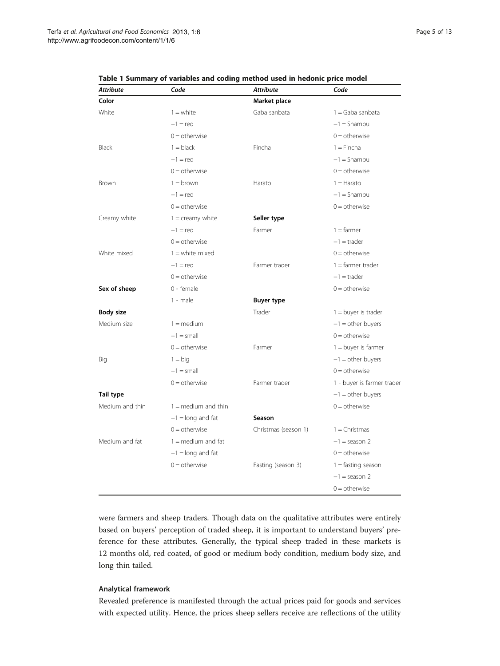| <b>Attribute</b> | Code                         | <b>Attribute</b>     | Code                       |  |
|------------------|------------------------------|----------------------|----------------------------|--|
| Color            |                              | Market place         |                            |  |
| White            | $1 =$ white                  | Gaba sanbata         | $1 =$ Gaba sanbata         |  |
|                  | $-1$ = red                   |                      | $-1 =$ Shambu              |  |
|                  | $0 =$ otherwise              |                      | $0 =$ otherwise            |  |
| <b>Black</b>     | $1 =$ black                  | Fincha               | $1 =$ Fincha               |  |
|                  | $-1$ = red                   |                      | $-1 =$ Shambu              |  |
|                  | $0 =$ otherwise              |                      | $0 =$ otherwise            |  |
| Brown            | $1 =$ brown                  | Harato               | $1 =$ Harato               |  |
|                  | $-1$ = red                   |                      | $-1 =$ Shambu              |  |
|                  | $0 =$ otherwise              |                      | $0 =$ otherwise            |  |
| Creamy white     | $1 =$ creamy white           | Seller type          |                            |  |
|                  | $-1$ = red                   | Farmer               | $1 = farmer$               |  |
|                  | $0 =$ otherwise              |                      | $-1$ = trader              |  |
| White mixed      | $1 =$ white mixed            |                      | $0 =$ otherwise            |  |
|                  | $-1$ = red                   | Farmer trader        | $1 =$ farmer trader        |  |
|                  | $0 =$ otherwise              |                      | $-1$ = trader              |  |
| Sex of sheep     | 0 - female                   |                      | $0 =$ otherwise            |  |
|                  | $1 - male$                   | <b>Buyer type</b>    |                            |  |
| <b>Body size</b> |                              | Trader               | $1 =$ buyer is trader      |  |
| Medium size      | $1 = \text{medium}$          |                      | $-1$ = other buyers        |  |
|                  | $-1 = \text{small}$          |                      | $0 =$ otherwise            |  |
|                  | $0 =$ otherwise              | Farmer               | $1 =$ buyer is farmer      |  |
| Big              | $1 = biq$                    |                      | $-1$ = other buyers        |  |
|                  | $-1 =$ small                 |                      | $0 =$ otherwise            |  |
|                  | $0 =$ otherwise              | Farmer trader        | 1 - buyer is farmer trader |  |
| Tail type        |                              |                      | $-1$ = other buyers        |  |
| Medium and thin  | $1 = \text{medium}$ and thin |                      | $0 =$ otherwise            |  |
|                  | $-1 =$ long and fat          | Season               |                            |  |
|                  | $0 =$ otherwise              | Christmas (season 1) | $1 =$ Christmas            |  |
| Medium and fat   | $1 =$ medium and fat         |                      | $-1$ = season 2            |  |
|                  | $-1 =$ long and fat          |                      | $0 =$ otherwise            |  |
|                  | $0 =$ otherwise              | Fasting (season 3)   | $1 =$ fasting season       |  |
|                  |                              |                      | $-1$ = season 2            |  |
|                  |                              |                      | $0 =$ otherwise            |  |

<span id="page-4-0"></span>Table 1 Summary of variables and coding method used in hedonic price model

were farmers and sheep traders. Though data on the qualitative attributes were entirely based on buyers' perception of traded sheep, it is important to understand buyers' preference for these attributes. Generally, the typical sheep traded in these markets is 12 months old, red coated, of good or medium body condition, medium body size, and long thin tailed.

#### Analytical framework

Revealed preference is manifested through the actual prices paid for goods and services with expected utility. Hence, the prices sheep sellers receive are reflections of the utility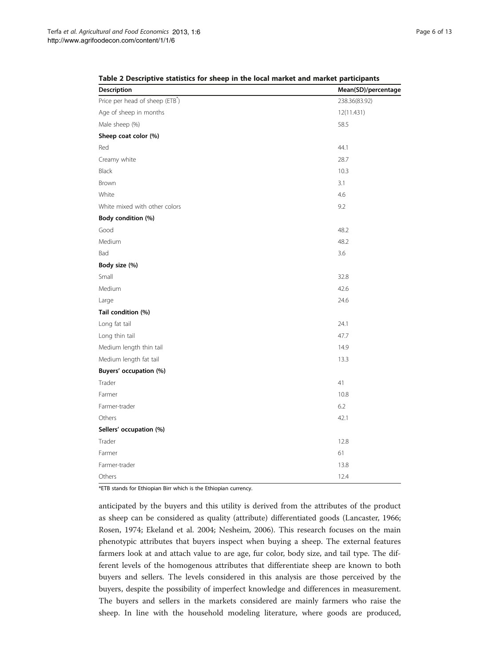| Description                    | Mean(SD)/percentage |
|--------------------------------|---------------------|
| Price per head of sheep (ETB*) | 238.36(83.92)       |
| Age of sheep in months         | 12(11.431)          |
| Male sheep (%)                 | 58.5                |
| Sheep coat color (%)           |                     |
| Red                            | 44.1                |
| Creamy white                   | 28.7                |
| <b>Black</b>                   | 10.3                |
| Brown                          | 3.1                 |
| White                          | 4.6                 |
| White mixed with other colors  | 9.2                 |
| Body condition (%)             |                     |
| Good                           | 48.2                |
| Medium                         | 48.2                |
| Bad                            | 3.6                 |
| Body size (%)                  |                     |
| Small                          | 32.8                |
| Medium                         | 42.6                |
| Large                          | 24.6                |
| Tail condition (%)             |                     |
| Long fat tail                  | 24.1                |
| Long thin tail                 | 47.7                |
| Medium length thin tail        | 14.9                |
| Medium length fat tail         | 13.3                |
| Buyers' occupation (%)         |                     |
| Trader                         | 41                  |
| Farmer                         | 10.8                |
| Farmer-trader                  | 6.2                 |
| Others                         | 42.1                |
| Sellers' occupation (%)        |                     |
| Trader                         | 12.8                |
| Farmer                         | 61                  |
| Farmer-trader                  | 13.8                |
| Others                         | 12.4                |

<span id="page-5-0"></span>Table 2 Descriptive statistics for sheep in the local market and market participants

\*ETB stands for Ethiopian Birr which is the Ethiopian currency.

anticipated by the buyers and this utility is derived from the attributes of the product as sheep can be considered as quality (attribute) differentiated goods (Lancaster, [1966](#page-12-0); Rosen, [1974](#page-12-0); Ekeland et al. [2004;](#page-12-0) Nesheim, [2006\)](#page-12-0). This research focuses on the main phenotypic attributes that buyers inspect when buying a sheep. The external features farmers look at and attach value to are age, fur color, body size, and tail type. The different levels of the homogenous attributes that differentiate sheep are known to both buyers and sellers. The levels considered in this analysis are those perceived by the buyers, despite the possibility of imperfect knowledge and differences in measurement. The buyers and sellers in the markets considered are mainly farmers who raise the sheep. In line with the household modeling literature, where goods are produced,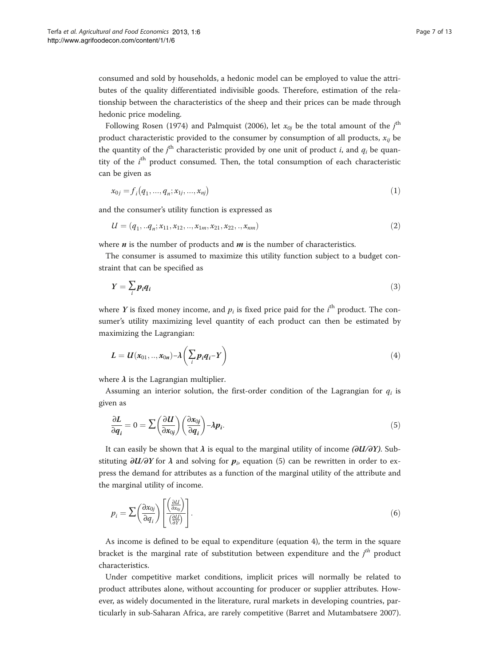consumed and sold by households, a hedonic model can be employed to value the attributes of the quality differentiated indivisible goods. Therefore, estimation of the relationship between the characteristics of the sheep and their prices can be made through hedonic price modeling.

Following Rosen [\(1974\)](#page-12-0) and Palmquist ([2006](#page-12-0)), let  $x_{0j}$  be the total amount of the  $j^{\text{th}}$ product characteristic provided to the consumer by consumption of all products,  $x_{ij}$  be the quantity of the  $j^{\text{th}}$  characteristic provided by one unit of product i, and  $q_i$  be quantity of the *i*<sup>th</sup> product consumed. Then, the total consumption of each characteristic can be given as

$$
x_{0j} = f_i(q_1, ..., q_n; x_{1j}, ..., x_{nj})
$$
\n(1)

and the consumer's utility function is expressed as

$$
U = (q_1, .\ldots q_n; x_{11}, x_{12}, .\ldots, x_{1m}, x_{21}, x_{22}, ., x_{nm})
$$
\n<sup>(2)</sup>

where  $n$  is the number of products and  $m$  is the number of characteristics.

The consumer is assumed to maximize this utility function subject to a budget constraint that can be specified as

$$
Y = \sum_{i} p_i q_i \tag{3}
$$

where Y is fixed money income, and  $p_i$  is fixed price paid for the  $i^{\text{th}}$  product. The consumer's utility maximizing level quantity of each product can then be estimated by maximizing the Lagrangian:

$$
L = U(x_{01},...,x_{0n}) - \lambda \left(\sum_i p_i q_i - Y\right)
$$
\n(4)

where  $\lambda$  is the Lagrangian multiplier.

Assuming an interior solution, the first-order condition of the Lagrangian for  $q_i$  is given as

$$
\frac{\partial L}{\partial q_i} = 0 = \sum \left(\frac{\partial U}{\partial x_{0j}}\right) \left(\frac{\partial x_{0j}}{\partial q_i}\right) - \lambda p_i.
$$
\n(5)

It can easily be shown that  $\lambda$  is equal to the marginal utility of income (∂U/∂Y). Substituting  $\partial U/\partial Y$  for  $\lambda$  and solving for  $p_i$ , equation (5) can be rewritten in order to express the demand for attributes as a function of the marginal utility of the attribute and the marginal utility of income.

$$
p_i = \sum \left(\frac{\partial x_{0j}}{\partial q_i}\right) \left[\frac{\left(\frac{\partial U}{\partial x_{0j}}\right)}{\left(\frac{\partial U}{\partial Y}\right)}\right].
$$
 (6)

As income is defined to be equal to expenditure (equation 4), the term in the square bracket is the marginal rate of substitution between expenditure and the  $j<sup>th</sup>$  product characteristics.

Under competitive market conditions, implicit prices will normally be related to product attributes alone, without accounting for producer or supplier attributes. However, as widely documented in the literature, rural markets in developing countries, particularly in sub-Saharan Africa, are rarely competitive (Barret and Mutambatsere [2007](#page-12-0)).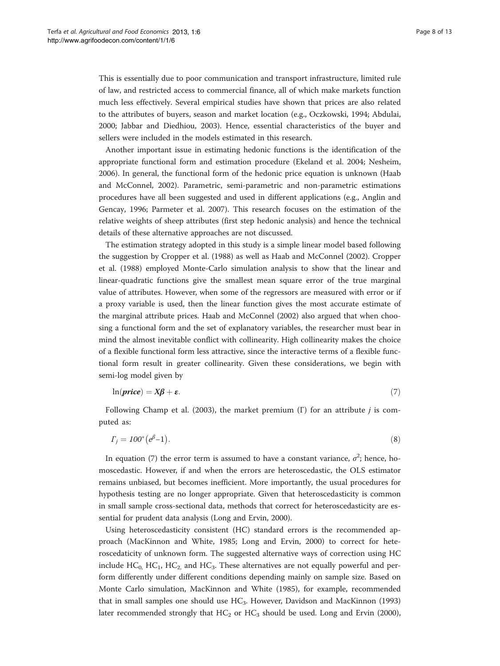This is essentially due to poor communication and transport infrastructure, limited rule of law, and restricted access to commercial finance, all of which make markets function much less effectively. Several empirical studies have shown that prices are also related to the attributes of buyers, season and market location (e.g., Oczkowski, [1994](#page-12-0); Abdulai, [2000](#page-11-0); Jabbar and Diedhiou, [2003\)](#page-12-0). Hence, essential characteristics of the buyer and sellers were included in the models estimated in this research.

Another important issue in estimating hedonic functions is the identification of the appropriate functional form and estimation procedure (Ekeland et al. [2004](#page-12-0); Nesheim, [2006](#page-12-0)). In general, the functional form of the hedonic price equation is unknown (Haab and McConnel, [2002\)](#page-12-0). Parametric, semi-parametric and non-parametric estimations procedures have all been suggested and used in different applications (e.g., Anglin and Gencay, [1996](#page-12-0); Parmeter et al. [2007\)](#page-12-0). This research focuses on the estimation of the relative weights of sheep attributes (first step hedonic analysis) and hence the technical details of these alternative approaches are not discussed.

The estimation strategy adopted in this study is a simple linear model based following the suggestion by Cropper et al. [\(1988](#page-12-0)) as well as Haab and McConnel ([2002](#page-12-0)). Cropper et al. [\(1988](#page-12-0)) employed Monte-Carlo simulation analysis to show that the linear and linear-quadratic functions give the smallest mean square error of the true marginal value of attributes. However, when some of the regressors are measured with error or if a proxy variable is used, then the linear function gives the most accurate estimate of the marginal attribute prices. Haab and McConnel [\(2002\)](#page-12-0) also argued that when choosing a functional form and the set of explanatory variables, the researcher must bear in mind the almost inevitable conflict with collinearity. High collinearity makes the choice of a flexible functional form less attractive, since the interactive terms of a flexible functional form result in greater collinearity. Given these considerations, we begin with semi-log model given by

$$
\ln(\text{price}) = X\beta + \varepsilon. \tag{7}
$$

Following Champ et al. ([2003\)](#page-12-0), the market premium (Γ) for an attribute *j* is computed as:

$$
\Gamma_j = 100^* \left( e^{\beta} - 1 \right). \tag{8}
$$

In equation (7) the error term is assumed to have a constant variance,  $\sigma^2$ ; hence, homoscedastic. However, if and when the errors are heteroscedastic, the OLS estimator remains unbiased, but becomes inefficient. More importantly, the usual procedures for hypothesis testing are no longer appropriate. Given that heteroscedasticity is common in small sample cross-sectional data, methods that correct for heteroscedasticity are essential for prudent data analysis (Long and Ervin, [2000\)](#page-12-0).

Using heteroscedasticity consistent (HC) standard errors is the recommended approach (MacKinnon and White, [1985;](#page-12-0) Long and Ervin, [2000\)](#page-12-0) to correct for heteroscedaticity of unknown form. The suggested alternative ways of correction using HC include  $HC_0$ ,  $HC_1$ ,  $HC_2$ , and  $HC_3$ . These alternatives are not equally powerful and perform differently under different conditions depending mainly on sample size. Based on Monte Carlo simulation, MacKinnon and White [\(1985\)](#page-12-0), for example, recommended that in small samples one should use  $HC_3$ . However, Davidson and MacKinnon ([1993](#page-12-0)) later recommended strongly that  $HC_2$  or  $HC_3$  should be used. Long and Ervin ([2000](#page-12-0)),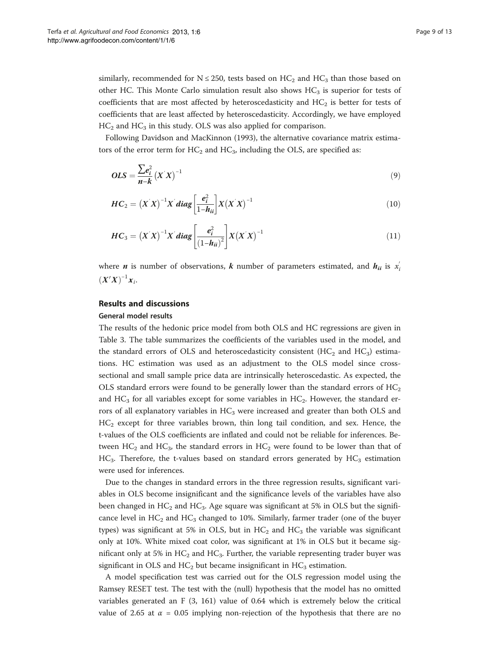similarly, recommended for  $N \le 250$ , tests based on  $HC_2$  and  $HC_3$  than those based on other HC. This Monte Carlo simulation result also shows  $HC<sub>3</sub>$  is superior for tests of coefficients that are most affected by heteroscedasticity and  $HC<sub>2</sub>$  is better for tests of coefficients that are least affected by heteroscedasticity. Accordingly, we have employed  $HC<sub>2</sub>$  and  $HC<sub>3</sub>$  in this study. OLS was also applied for comparison.

Following Davidson and MacKinnon [\(1993\)](#page-12-0), the alternative covariance matrix estimators of the error term for  $HC_2$  and  $HC_3$ , including the OLS, are specified as:

$$
OLS = \frac{\sum e_i^2}{n-k} \left(X'X\right)^{-1} \tag{9}
$$

$$
HC_2 = \left(X^{'}X\right)^{-1}X^{'}diag\left[\frac{e_i^2}{1-h_{ii}}\right]X\left(X^{'}X\right)^{-1}
$$
\n(10)

$$
HC_3 = (X'X)^{-1}X'diag \left[ \frac{e_i^2}{(1-h_{ii})^2} \right] X (X'X)^{-1}
$$
\n(11)

where *n* is number of observations, *k* number of parameters estimated, and  $h_{ii}$  is  $x_i^{'}$  $(X'X)^{-1}x_i$ 

#### Results and discussions

#### General model results

The results of the hedonic price model from both OLS and HC regressions are given in Table [3](#page-9-0). The table summarizes the coefficients of the variables used in the model, and the standard errors of OLS and heteroscedasticity consistent  $(HC_2 \text{ and } HC_3)$  estimations. HC estimation was used as an adjustment to the OLS model since crosssectional and small sample price data are intrinsically heteroscedastic. As expected, the OLS standard errors were found to be generally lower than the standard errors of  $HC_2$ and  $HC_3$  for all variables except for some variables in  $HC_2$ . However, the standard errors of all explanatory variables in  $HC_3$  were increased and greater than both OLS and  $HC<sub>2</sub>$  except for three variables brown, thin long tail condition, and sex. Hence, the t-values of the OLS coefficients are inflated and could not be reliable for inferences. Between  $HC_2$  and  $HC_3$ , the standard errors in  $HC_2$  were found to be lower than that of  $HC<sub>3</sub>$ . Therefore, the t-values based on standard errors generated by  $HC<sub>3</sub>$  estimation were used for inferences.

Due to the changes in standard errors in the three regression results, significant variables in OLS become insignificant and the significance levels of the variables have also been changed in  $HC_2$  and  $HC_3$ . Age square was significant at 5% in OLS but the significance level in  $HC_2$  and  $HC_3$  changed to 10%. Similarly, farmer trader (one of the buyer types) was significant at 5% in OLS, but in  $HC_2$  and  $HC_3$  the variable was significant only at 10%. White mixed coat color, was significant at 1% in OLS but it became significant only at 5% in  $HC_2$  and  $HC_3$ . Further, the variable representing trader buyer was significant in OLS and  $HC_2$  but became insignificant in  $HC_3$  estimation.

A model specification test was carried out for the OLS regression model using the Ramsey RESET test. The test with the (null) hypothesis that the model has no omitted variables generated an F (3, 161) value of 0.64 which is extremely below the critical value of 2.65 at  $\alpha$  = 0.05 implying non-rejection of the hypothesis that there are no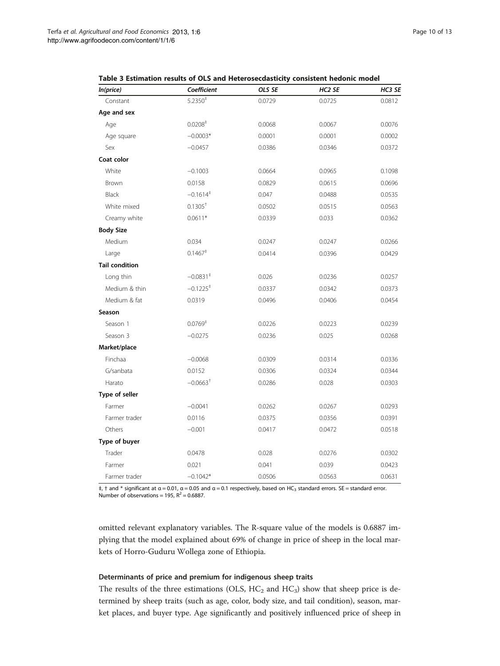<span id="page-9-0"></span>

| In(price)             | Coefficient            | OLS SE | HC <sub>2</sub> SE | HC3 SE |
|-----------------------|------------------------|--------|--------------------|--------|
| Constant              | $5.2350^{\ddagger}$    | 0.0729 | 0.0725             | 0.0812 |
| Age and sex           |                        |        |                    |        |
| Age                   | 0.0208 <sup>‡</sup>    | 0.0068 | 0.0067             | 0.0076 |
| Age square            | $-0.0003*$             | 0.0001 | 0.0001             | 0.0002 |
| Sex                   | $-0.0457$              | 0.0386 | 0.0346             | 0.0372 |
| Coat color            |                        |        |                    |        |
| White                 | $-0.1003$              | 0.0664 | 0.0965             | 0.1098 |
| Brown                 | 0.0158                 | 0.0829 | 0.0615             | 0.0696 |
| Black                 | $-0.1614^{\ddagger}$   | 0.047  | 0.0488             | 0.0535 |
| White mixed           | 0.1305 <sup>†</sup>    | 0.0502 | 0.0515             | 0.0563 |
| Creamy white          | $0.0611*$              | 0.0339 | 0.033              | 0.0362 |
| <b>Body Size</b>      |                        |        |                    |        |
| Medium                | 0.034                  | 0.0247 | 0.0247             | 0.0266 |
| Large                 | $0.1467$ <sup>+</sup>  | 0.0414 | 0.0396             | 0.0429 |
| <b>Tail condition</b> |                        |        |                    |        |
| Long thin             | $-0.0831^{\ddagger}$   | 0.026  | 0.0236             | 0.0257 |
| Medium & thin         | $-0.1225$ <sup>+</sup> | 0.0337 | 0.0342             | 0.0373 |
| Medium & fat          | 0.0319                 | 0.0496 | 0.0406             | 0.0454 |
| Season                |                        |        |                    |        |
| Season 1              | 0.0769 <sup>‡</sup>    | 0.0226 | 0.0223             | 0.0239 |
| Season 3              | $-0.0275$              | 0.0236 | 0.025              | 0.0268 |
| Market/place          |                        |        |                    |        |
| Finchaa               | $-0.0068$              | 0.0309 | 0.0314             | 0.0336 |
| G/sanbata             | 0.0152                 | 0.0306 | 0.0324             | 0.0344 |
| Harato                | $-0.0663$ <sup>+</sup> | 0.0286 | 0.028              | 0.0303 |
| Type of seller        |                        |        |                    |        |
| Farmer                | $-0.0041$              | 0.0262 | 0.0267             | 0.0293 |
| Farmer trader         | 0.0116                 | 0.0375 | 0.0356             | 0.0391 |
| Others                | $-0.001$               | 0.0417 | 0.0472             | 0.0518 |
| Type of buyer         |                        |        |                    |        |
| Trader                | 0.0478                 | 0.028  | 0.0276             | 0.0302 |
| Farmer                | 0.021                  | 0.041  | 0.039              | 0.0423 |
| Farmer trader         | $-0.1042*$             | 0.0506 | 0.0563             | 0.0631 |

| Table 3 Estimation results of OLS and Heterosecdasticity consistent hedonic model |  |
|-----------------------------------------------------------------------------------|--|
|-----------------------------------------------------------------------------------|--|

 $\pm$ ,  $\pm$  and  $*$  significant at  $\alpha$  = 0.01,  $\alpha$  = 0.05 and  $\alpha$  = 0.1 respectively, based on HC<sub>3</sub> standard errors. SE = standard error. Number of observations = 195,  $R^2$  = 0.6887.

omitted relevant explanatory variables. The R-square value of the models is 0.6887 implying that the model explained about 69% of change in price of sheep in the local markets of Horro-Guduru Wollega zone of Ethiopia.

#### Determinants of price and premium for indigenous sheep traits

The results of the three estimations (OLS,  $HC_2$  and  $HC_3$ ) show that sheep price is determined by sheep traits (such as age, color, body size, and tail condition), season, market places, and buyer type. Age significantly and positively influenced price of sheep in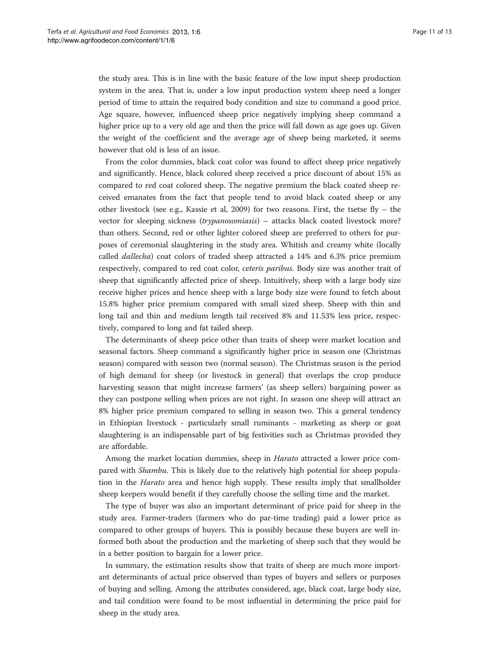the study area. This is in line with the basic feature of the low input sheep production system in the area. That is, under a low input production system sheep need a longer period of time to attain the required body condition and size to command a good price. Age square, however, influenced sheep price negatively implying sheep command a higher price up to a very old age and then the price will fall down as age goes up. Given the weight of the coefficient and the average age of sheep being marketed, it seems however that old is less of an issue.

From the color dummies, black coat color was found to affect sheep price negatively and significantly. Hence, black colored sheep received a price discount of about 15% as compared to red coat colored sheep. The negative premium the black coated sheep received emanates from the fact that people tend to avoid black coated sheep or any other livestock (see e.g., Kassie et al, [2009\)](#page-12-0) for two reasons. First, the tsetse fly – the vector for sleeping sickness (trypanosomiasis) - attacks black coated livestock more? than others. Second, red or other lighter colored sheep are preferred to others for purposes of ceremonial slaughtering in the study area. Whitish and creamy white (locally called dallecha) coat colors of traded sheep attracted a 14% and 6.3% price premium respectively, compared to red coat color, ceteris paribus. Body size was another trait of sheep that significantly affected price of sheep. Intuitively, sheep with a large body size receive higher prices and hence sheep with a large body size were found to fetch about 15.8% higher price premium compared with small sized sheep. Sheep with thin and long tail and thin and medium length tail received 8% and 11.53% less price, respectively, compared to long and fat tailed sheep.

The determinants of sheep price other than traits of sheep were market location and seasonal factors. Sheep command a significantly higher price in season one (Christmas season) compared with season two (normal season). The Christmas season is the period of high demand for sheep (or livestock in general) that overlaps the crop produce harvesting season that might increase farmers' (as sheep sellers) bargaining power as they can postpone selling when prices are not right. In season one sheep will attract an 8% higher price premium compared to selling in season two. This a general tendency in Ethiopian livestock - particularly small ruminants - marketing as sheep or goat slaughtering is an indispensable part of big festivities such as Christmas provided they are affordable.

Among the market location dummies, sheep in *Harato* attracted a lower price compared with Shambu. This is likely due to the relatively high potential for sheep population in the *Harato* area and hence high supply. These results imply that smallholder sheep keepers would benefit if they carefully choose the selling time and the market.

The type of buyer was also an important determinant of price paid for sheep in the study area. Farmer-traders (farmers who do par-time trading) paid a lower price as compared to other groups of buyers. This is possibly because these buyers are well informed both about the production and the marketing of sheep such that they would be in a better position to bargain for a lower price.

In summary, the estimation results show that traits of sheep are much more important determinants of actual price observed than types of buyers and sellers or purposes of buying and selling. Among the attributes considered, age, black coat, large body size, and tail condition were found to be most influential in determining the price paid for sheep in the study area.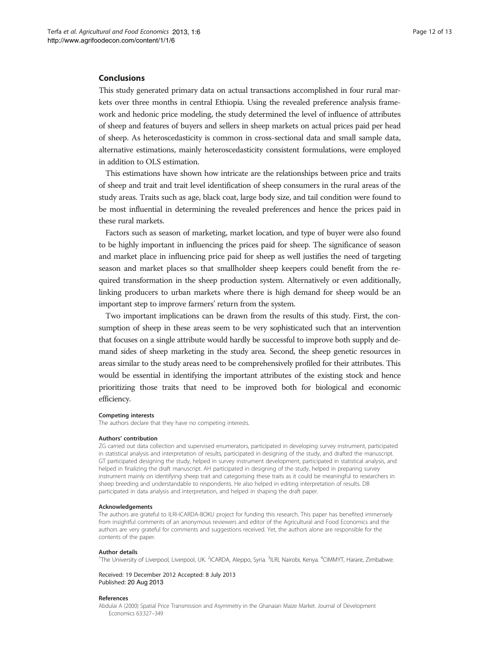#### <span id="page-11-0"></span>Conclusions

This study generated primary data on actual transactions accomplished in four rural markets over three months in central Ethiopia. Using the revealed preference analysis framework and hedonic price modeling, the study determined the level of influence of attributes of sheep and features of buyers and sellers in sheep markets on actual prices paid per head of sheep. As heteroscedasticity is common in cross-sectional data and small sample data, alternative estimations, mainly heteroscedasticity consistent formulations, were employed in addition to OLS estimation.

This estimations have shown how intricate are the relationships between price and traits of sheep and trait and trait level identification of sheep consumers in the rural areas of the study areas. Traits such as age, black coat, large body size, and tail condition were found to be most influential in determining the revealed preferences and hence the prices paid in these rural markets.

Factors such as season of marketing, market location, and type of buyer were also found to be highly important in influencing the prices paid for sheep. The significance of season and market place in influencing price paid for sheep as well justifies the need of targeting season and market places so that smallholder sheep keepers could benefit from the required transformation in the sheep production system. Alternatively or even additionally, linking producers to urban markets where there is high demand for sheep would be an important step to improve farmers' return from the system.

Two important implications can be drawn from the results of this study. First, the consumption of sheep in these areas seem to be very sophisticated such that an intervention that focuses on a single attribute would hardly be successful to improve both supply and demand sides of sheep marketing in the study area. Second, the sheep genetic resources in areas similar to the study areas need to be comprehensively profiled for their attributes. This would be essential in identifying the important attributes of the existing stock and hence prioritizing those traits that need to be improved both for biological and economic efficiency.

#### Competing interests

The authors declare that they have no competing interests.

#### Authors' contribution

ZG carried out data collection and supervised enumerators, participated in developing survey instrument, participated in statistical analysis and interpretation of results, participated in designing of the study, and drafted the manuscript. GT participated designing the study, helped in survey instrument development, participated in statistical analysis, and helped in finalizing the draft manuscript. AH participated in designing of the study, helped in preparing survey instrument mainly on identifying sheep trait and categorising these traits as it could be meaningful to researchers in sheep breeding and understandable to respondents. He also helped in editing interpretation of results. DB participated in data analysis and interpretation, and helped in shaping the draft paper.

#### Acknowledgements

The authors are grateful to ILRI-ICARDA-BOKU project for funding this research. This paper has benefited immensely from insightful comments of an anonymous reviewers and editor of the Agricultural and Food Economics and the authors are very grateful for comments and suggestions received. Yet, the authors alone are responsible for the contents of the paper.

#### Author details

<sup>1</sup>The University of Liverpool, Liverpool, UK. <sup>2</sup>ICARDA, Aleppo, Syria. <sup>3</sup>ILRI, Nairobi, Kenya. <sup>4</sup>CIMMYT, Harare, Zimbabwe.

Received: 19 December 2012 Accepted: 8 July 2013 Published: 20 Aug 2013

#### References

Abdulai A (2000) Spatial Price Transmission and Asymmetry in the Ghanaian Maize Market. Journal of Development Economics 63:327–349